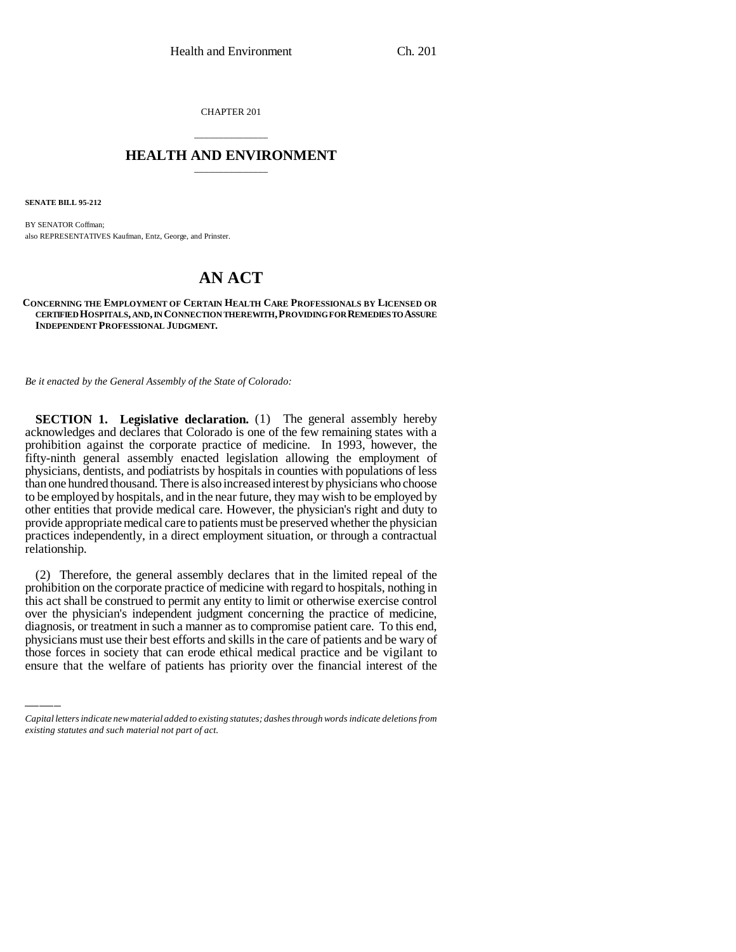CHAPTER 201

## \_\_\_\_\_\_\_\_\_\_\_\_\_\_\_ **HEALTH AND ENVIRONMENT** \_\_\_\_\_\_\_\_\_\_\_\_\_\_\_

**SENATE BILL 95-212**

BY SENATOR Coffman; also REPRESENTATIVES Kaufman, Entz, George, and Prinster.

## **AN ACT**

**CONCERNING THE EMPLOYMENT OF CERTAIN HEALTH CARE PROFESSIONALS BY LICENSED OR CERTIFIED HOSPITALS, AND, IN CONNECTION THEREWITH,PROVIDING FOR REMEDIES TO ASSURE INDEPENDENT PROFESSIONAL JUDGMENT.**

*Be it enacted by the General Assembly of the State of Colorado:*

**SECTION 1. Legislative declaration.** (1) The general assembly hereby acknowledges and declares that Colorado is one of the few remaining states with a prohibition against the corporate practice of medicine. In 1993, however, the fifty-ninth general assembly enacted legislation allowing the employment of physicians, dentists, and podiatrists by hospitals in counties with populations of less than one hundred thousand. There is also increased interest by physicians who choose to be employed by hospitals, and in the near future, they may wish to be employed by other entities that provide medical care. However, the physician's right and duty to provide appropriate medical care to patients must be preserved whether the physician practices independently, in a direct employment situation, or through a contractual relationship.

over the physician's independent judgment concerning the practice of medicine, (2) Therefore, the general assembly declares that in the limited repeal of the prohibition on the corporate practice of medicine with regard to hospitals, nothing in this act shall be construed to permit any entity to limit or otherwise exercise control diagnosis, or treatment in such a manner as to compromise patient care. To this end, physicians must use their best efforts and skills in the care of patients and be wary of those forces in society that can erode ethical medical practice and be vigilant to ensure that the welfare of patients has priority over the financial interest of the

*Capital letters indicate new material added to existing statutes; dashes through words indicate deletions from existing statutes and such material not part of act.*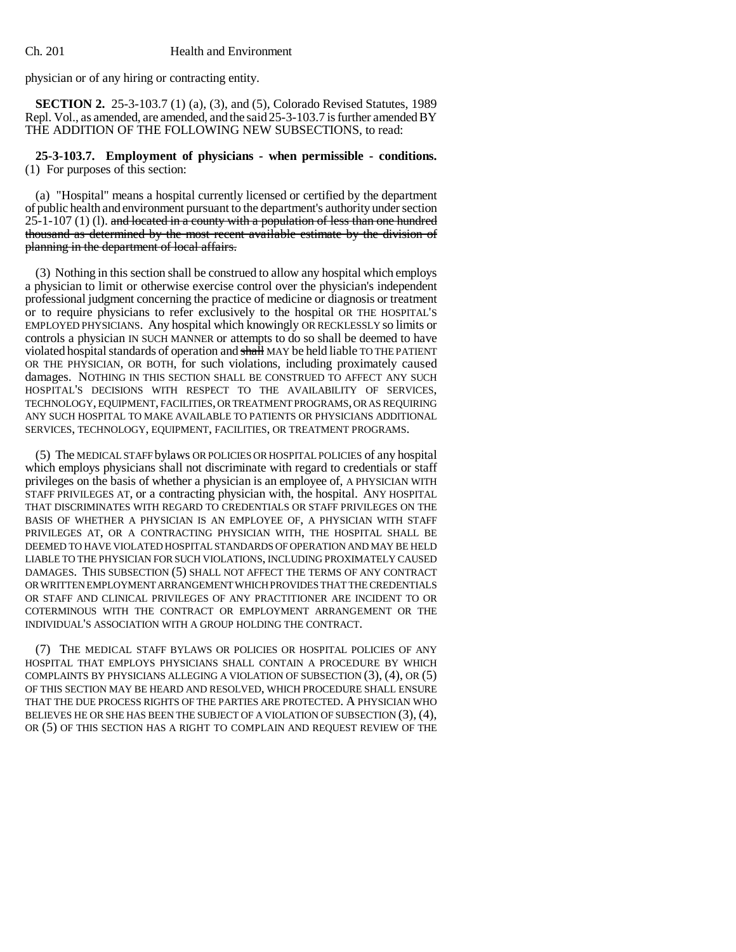physician or of any hiring or contracting entity.

**SECTION 2.** 25-3-103.7 (1) (a), (3), and (5), Colorado Revised Statutes, 1989 Repl. Vol., as amended, are amended, and the said 25-3-103.7 is further amended BY THE ADDITION OF THE FOLLOWING NEW SUBSECTIONS, to read:

**25-3-103.7. Employment of physicians - when permissible - conditions.** (1) For purposes of this section:

(a) "Hospital" means a hospital currently licensed or certified by the department of public health and environment pursuant to the department's authority under section  $25$ -1-107 (1) (1). and located in a county with a population of less than one hundred thousand as determined by the most recent available estimate by the division of planning in the department of local affairs.

(3) Nothing in this section shall be construed to allow any hospital which employs a physician to limit or otherwise exercise control over the physician's independent professional judgment concerning the practice of medicine or diagnosis or treatment or to require physicians to refer exclusively to the hospital OR THE HOSPITAL'S EMPLOYED PHYSICIANS. Any hospital which knowingly OR RECKLESSLY so limits or controls a physician IN SUCH MANNER or attempts to do so shall be deemed to have violated hospital standards of operation and shall MAY be held liable TO THE PATIENT OR THE PHYSICIAN, OR BOTH, for such violations, including proximately caused damages. NOTHING IN THIS SECTION SHALL BE CONSTRUED TO AFFECT ANY SUCH HOSPITAL'S DECISIONS WITH RESPECT TO THE AVAILABILITY OF SERVICES, TECHNOLOGY, EQUIPMENT, FACILITIES, OR TREATMENT PROGRAMS, OR AS REQUIRING ANY SUCH HOSPITAL TO MAKE AVAILABLE TO PATIENTS OR PHYSICIANS ADDITIONAL SERVICES, TECHNOLOGY, EQUIPMENT, FACILITIES, OR TREATMENT PROGRAMS.

(5) The MEDICAL STAFF bylaws OR POLICIES OR HOSPITAL POLICIES of any hospital which employs physicians shall not discriminate with regard to credentials or staff privileges on the basis of whether a physician is an employee of, A PHYSICIAN WITH STAFF PRIVILEGES AT, or a contracting physician with, the hospital. ANY HOSPITAL THAT DISCRIMINATES WITH REGARD TO CREDENTIALS OR STAFF PRIVILEGES ON THE BASIS OF WHETHER A PHYSICIAN IS AN EMPLOYEE OF, A PHYSICIAN WITH STAFF PRIVILEGES AT, OR A CONTRACTING PHYSICIAN WITH, THE HOSPITAL SHALL BE DEEMED TO HAVE VIOLATED HOSPITAL STANDARDS OF OPERATION AND MAY BE HELD LIABLE TO THE PHYSICIAN FOR SUCH VIOLATIONS, INCLUDING PROXIMATELY CAUSED DAMAGES. THIS SUBSECTION (5) SHALL NOT AFFECT THE TERMS OF ANY CONTRACT OR WRITTEN EMPLOYMENT ARRANGEMENT WHICH PROVIDES THAT THE CREDENTIALS OR STAFF AND CLINICAL PRIVILEGES OF ANY PRACTITIONER ARE INCIDENT TO OR COTERMINOUS WITH THE CONTRACT OR EMPLOYMENT ARRANGEMENT OR THE INDIVIDUAL'S ASSOCIATION WITH A GROUP HOLDING THE CONTRACT.

(7) THE MEDICAL STAFF BYLAWS OR POLICIES OR HOSPITAL POLICIES OF ANY HOSPITAL THAT EMPLOYS PHYSICIANS SHALL CONTAIN A PROCEDURE BY WHICH COMPLAINTS BY PHYSICIANS ALLEGING A VIOLATION OF SUBSECTION (3), (4), OR (5) OF THIS SECTION MAY BE HEARD AND RESOLVED, WHICH PROCEDURE SHALL ENSURE THAT THE DUE PROCESS RIGHTS OF THE PARTIES ARE PROTECTED. A PHYSICIAN WHO BELIEVES HE OR SHE HAS BEEN THE SUBJECT OF A VIOLATION OF SUBSECTION (3), (4), OR (5) OF THIS SECTION HAS A RIGHT TO COMPLAIN AND REQUEST REVIEW OF THE